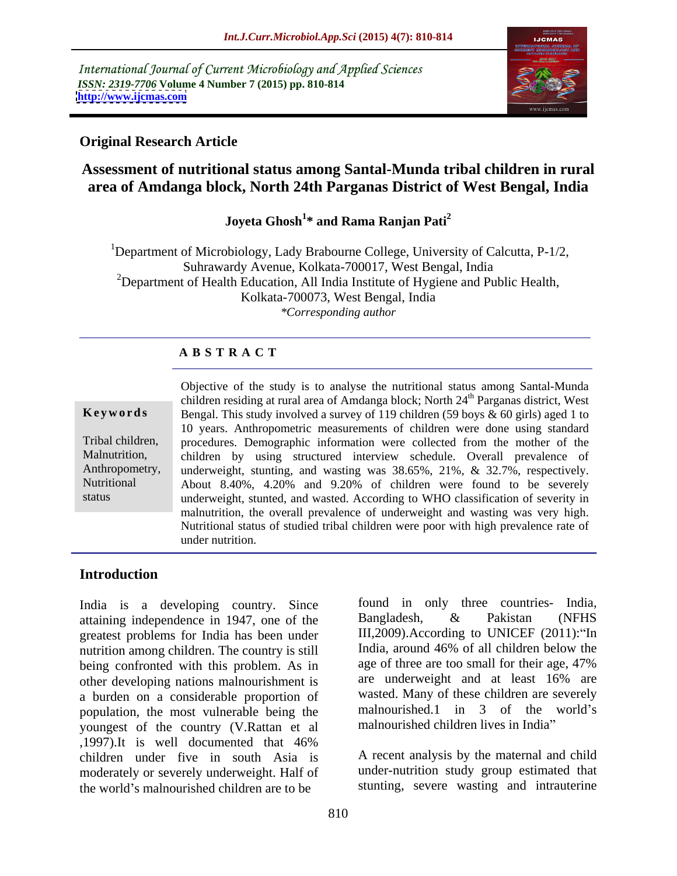International Journal of Current Microbiology and Applied Sciences *ISSN: 2319-7706* **Volume 4 Number 7 (2015) pp. 810-814 <http://www.ijcmas.com>**



# **Original Research Article**

# **Assessment of nutritional status among Santal-Munda tribal children in rural area of Amdanga block, North 24th Parganas District of West Bengal, India**

### Joveta Ghosh<sup>1\*</sup> and Rama Ranian Pati<sup>2</sup> **\* and Rama Ranjan Pati<sup>2</sup>**

<sup>1</sup>Department of Microbiology, Lady Brabourne College, University of Calcutta, P-1/2, Suhrawardy Avenue, Kolkata-700017, West Bengal, India <sup>2</sup>Department of Health Education, All India Institute of Hygiene and Public Health, Kolkata-700073, West Bengal, India *\*Corresponding author*

## **A B S T R A C T**

### Objective of the study is to analyse the nutritional status among Santal-Munda children residing at rural area of Amdanga block; North 24<sup>th</sup> Parganas district, West Bengal. This study involved a survey of 119 children (59 boys & 60 girls) aged 1 to **Ke ywo rds** 10 years. Anthropometric measurements of children were done using standard Tribal children, procedures. Demographic information were collected from the mother of the Malnutrition, children by using structured interview schedule. Overall prevalence of Anthropometry, underweight, stunting, and wasting was 38.65%, 21%, & 32.7%, respectively. About 8.40%, 4.20% and 9.20% of children were found to be severely Nutritional underweight, stunted, and wasted. According to WHO classification of severity in malnutrition, the overall prevalence of underweight and wasting was very high. Nutritional status of studied tribal children were poor with high prevalence rate of under nutrition. status

## **Introduction**

India is a developing country. Since tound in only three countries- India,<br>attaining independence in 1947 one of the Bangladesh, & Pakistan (NFHS) attaining independence in 1947, one of the greatest problems for India has been under nutrition among children. The country is still here are too small for their age, 47%<br>heing confronted with this problem As in age of three are too small for their age, 47% being confronted with this problem. As in other developing nations malnourishment is a burden on a considerable proportion of population, the most vulnerable being the youngest of the country (V.Rattan et al ,1997).It is well documented that 46% children under five in south Asia is moderately or severely underweight. Half of the world's malnourished children are to be

found in only three countries- India, Bangladesh, & Pakistan (NFHS III, 2009). According to UNICEF  $(2011)$ : "In India, around 46% of all children below the age of three are too small for their age, 47% are underweight and at least 16% are wasted. Many of these children are severely malnourished.1 in  $3$  of the world's malnourished children lives in India

A recent analysis by the maternal and child under-nutrition study group estimated that stunting, severe wasting and intrauterine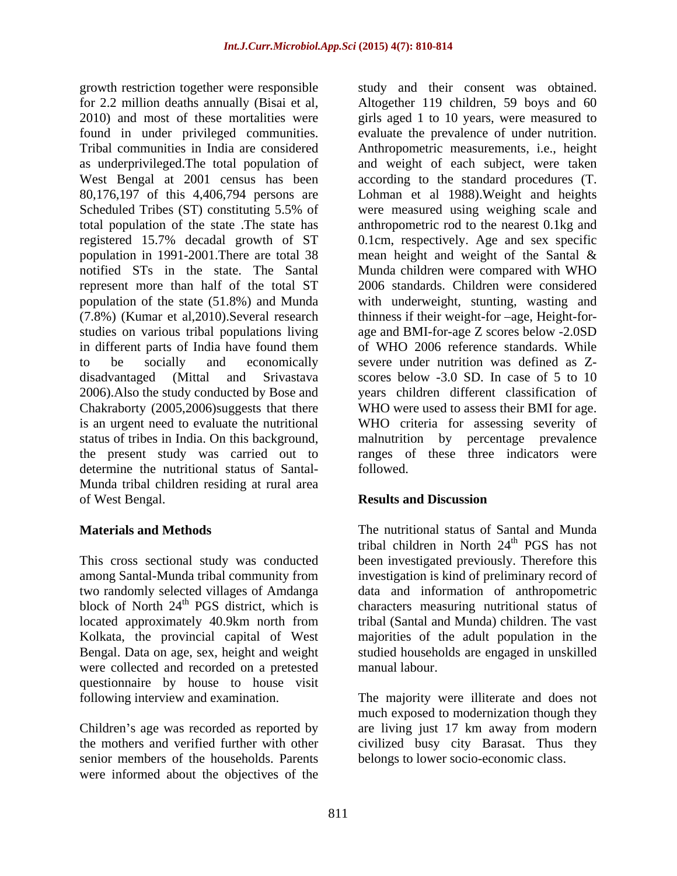growth restriction together were responsible study and their consent was obtained. found in under privileged communities. notified STs in the state. The Santal represent more than half of the total ST population of the state (51.8%) and Munda in different parts of India have found them 2006).Also the study conducted by Bose and determine the nutritional status of Santal-<br>followed. Munda tribal children residing at rural area of West Bengal.

were collected and recorded on a pretested questionnaire by house to house visit

senior members of the households. Parents were informed about the objectives of the

for 2.2 million deaths annually (Bisai et al, Altogether 119 children, 59 boys and 60 2010) and most of these mortalities were girls aged 1 to 10 years, were measured to Tribal communities in India are considered Anthropometric measurements, i.e., height as underprivileged.The total population of and weight of each subject, were taken West Bengal at 2001 census has been according to the standard procedures (T. 80,176,197 of this 4,406,794 persons are Lohman et al 1988).Weight and heights Scheduled Tribes (ST) constituting 5.5% of were measured using weighing scale and total population of the state .The state has anthropometric rod to the nearest 0.1kg and registered 15.7% decadal growth of ST 0.1cm, respectively. Age and sex specific population in 1991-2001.There are total 38 mean height and weight of the Santal & (7.8%) (Kumar et al, 2010). Several research thinness if their weight-for-age, Height-forstudies on various tribal populations living age and BMI-for-age Z scores below -2.0SD to be socially and economically severe under nutrition was defined as Z disadvantaged (Mittal and Srivastava scores below -3.0 SD. In case of 5 to 10 Chakraborty (2005,2006)suggests that there WHO were used to assess their BMI for age. is an urgent need to evaluate the nutritional WHO criteria for assessing severity of status of tribes in India. On this background, malnutrition by percentage prevalence the present study was carried out to ranges of these three indicators were evaluate the prevalence of under nutrition. were measured using weighing scale and Munda children were compared with WHO 2006 standards. Children were considered with underweight, stunting, wasting and of WHO 2006 reference standards. While years children different classification of followed.

## **Results and Discussion**

**Materials and Methods** The nutritional status of Santal and Munda This cross sectional study was conducted been investigated previously. Therefore this among Santal-Munda tribal community from investigation is kind of preliminary record of two randomly selected villages of Amdanga data and information of anthropometric block of North 24<sup>th</sup> PGS district, which is characters measuring nutritional status of located approximately 40.9km north from tribal (Santal and Munda) children. The vast Kolkata, the provincial capital of West majorities of the adult population in the Bengal. Data on age, sex, height and weight studied households are engaged in unskilled tribal children in North 24<sup>th</sup> PGS has not th PGS has not tribal (Santal and Munda) children. The vast manual labour.

following interview and examination. The majority were illiterate and does not Children's age was recorded as reported by are living just 17 km away from modern the mothers and verified further with other civilized busy city Barasat. Thus they much exposed to modernization though they belongs to lower socio-economic class.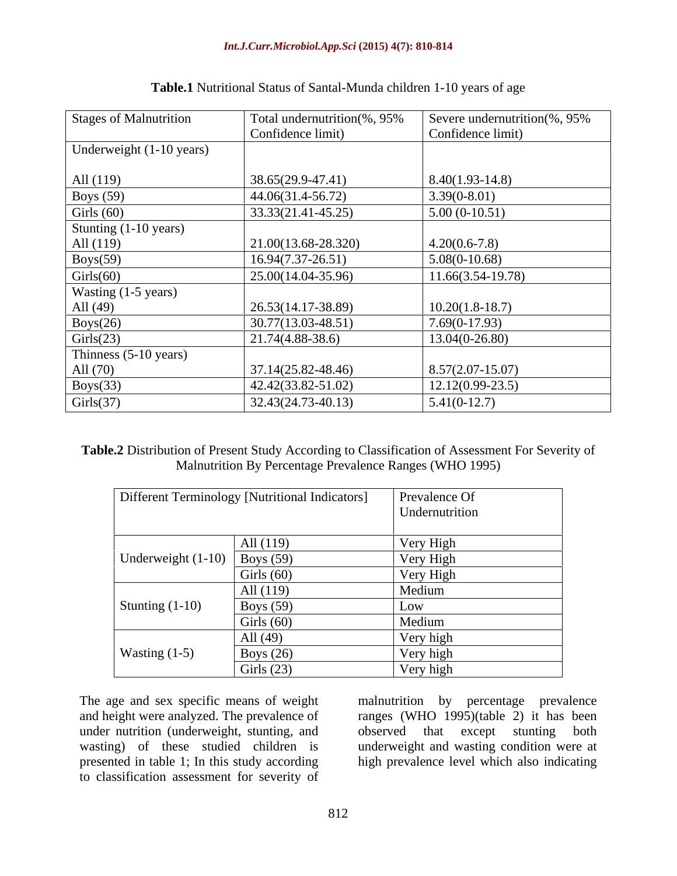| Stages of Malnutrition   | Total undernutrition(%, 95% | Severe undernutrition(%, 95% |
|--------------------------|-----------------------------|------------------------------|
|                          | Confidence limit)           | Confidence limit)            |
| Underweight (1-10 years) |                             |                              |
|                          |                             |                              |
| All (119)                | 38.65(29.9-47.41)           | $8.40(1.93-14.8)$            |
| Boys $(59)$              | 44.06(31.4-56.72)           | $3.39(0-8.01)$               |
| Girls $(60)$             | 33.33(21.41-45.25)          | $5.00(0-10.51)$              |
| Stunting (1-10 years)    |                             |                              |
| All (119)                | 21.00(13.68-28.320)         | $4.20(0.6-7.8)$              |
| Boys(59)                 | $16.94(7.37-26.51)$         | $5.08(0-10.68)$              |
| Girls(60)                | 25.00(14.04-35.96)          | $11.66(3.54-19.78)$          |
| Wasting (1-5 years)      |                             |                              |
| All (49)                 | 26.53(14.17-38.89)          | $10.20(1.8-18.7)$            |
| Boys(26)                 | $30.77(13.03 - 48.51)$      | 7.69(0-17.93)                |
| Girls(23)                | $21.74(4.88-38.6)$          | $13.04(0-26.80)$             |
| Thinness (5-10 years)    |                             |                              |
| All (70)                 | 37.14(25.82-48.46)          | $8.57(2.07 - 15.07)$         |
| Boys(33)                 | 42.42(33.82-51.02)          | $12.12(0.99-23.5)$           |
| Girls(37)                | $32.43(24.73-40.13)$        | $5.41(0-12.7)$               |

### **Table.1** Nutritional Status of Santal-Munda children 1-10 years of age

**Table.2** Distribution of Present Study According to Classification of Assessment For Severity of Malnutrition By Percentage Prevalence Ranges (WHO 1995)

| Different Terminology [Nutritional Indicators] |                  | <b>Prevalence Of</b> |
|------------------------------------------------|------------------|----------------------|
|                                                |                  | Undernutrition       |
|                                                | All (119)        | Very High            |
| Underweight $(1-10)$ Boys (59)                 |                  | Very High            |
|                                                | Girls $(60)$     | Very High            |
| Stunting $(1-10)$                              | All (119)        | Medium               |
|                                                | <b>Boys</b> (59) | LOV                  |
|                                                | Girls $(60)$     | Medium               |
| Wasting $(1-5)$                                | All (49)         | Very high            |
|                                                | Boys $(26)$      | Very high            |
|                                                | Girls $(23)$     | Very high            |

under nutrition (underweight, stunting, and observed that except stunting both wasting) of these studied children is<br>presented in table 1; In this study according to classification assessment for severity of

The age and sex specific means of weight malnutrition by percentage prevalence and height were analyzed. The prevalence of ranges (WHO 1995)(table 2) it has been presented in table 1; In this study according high prevalence level which also indicatingobserved that except stunting both underweight and wasting condition were at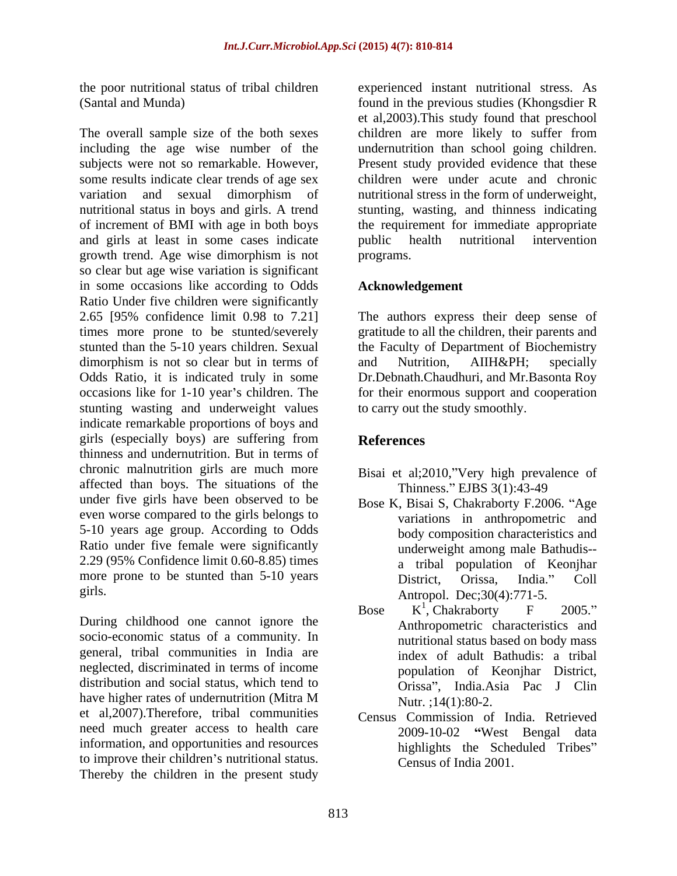The overall sample size of the both sexes children are more likely to suffer from including the age wise number of the subjects were not so remarkable. However, Present study provided evidence that these some results indicate clear trends of age sex children were under acute and chronic variation and sexual dimorphism of nutritional stress in the form of underweight, nutritional status in boys and girls. A trend stunting, wasting, and thinness indicating of increment of BMI with age in both boys and girls at least in some cases indicate growth trend. Age wise dimorphism is not so clear but age wise variation is significant in some occasions like according to Odds Ratio Under five children were significantly 2.65 [95% confidence limit 0.98 to 7.21] The authors express their deep sense of times more prone to be stunted/severely gratitude to all the children, their parents and stunted than the 5-10 years children. Sexual the Faculty of Department of Biochemistry dimorphism is not so clear but in terms of and Nutrition, AIIH&PH; specially Odds Ratio, it is indicated truly in some Dr.Debnath.Chaudhuri, and Mr.Basonta Roy occasions like for 1-10 year's children. The for their enormous support and cooperation stunting wasting and underweight values indicate remarkable proportions of boys and girls (especially boys) are suffering from thinness and undernutrition. But in terms of chronic malnutrition girls are much more affected than boys. The situations of the under five girls have been observed to be even worse compared to the girls belongs to 5-10 years age group. According to Odds Ratio under five female were significantly 2.29 (95% Confidence limit 0.60-8.85) times more prone to be stunted than 5-10 years District. Orissa. India." Coll

During childhood one cannot ignore the socio-economic status of a community. In general, tribal communities in India are neglected, discriminated in terms of income distribution and social status, which tend to have higher rates of undernutrition (Mitra M  $N$ utr.:14(1):80-2. et al,2007).Therefore, tribal communities need much greater access to health care information, and opportunities and resources to improve their children's nutritional status. Thereby the children in the present study

the poor nutritional status of tribal children experienced instant nutritional stress. As (Santal and Munda) found in the previous studies (Khongsdier R et al,2003).This study found that preschool undernutrition than school going children. the requirement for immediate appropriate public health nutritional intervention programs.

# **Acknowledgement**

and Nutrition, AIIH&PH; specially to carry out the study smoothly.

# **References**

- Bisai et al;2010,"Very high prevalence of Thinness." EJBS 3(1):43-49
- girls. **Antropol.** Dec;30(4):771-5. Bose K, Bisai S, Chakraborty F.2006. "Age variations in anthropometric and body composition characteristics and underweight among male Bathudis- a tribal population of Keonjhar District, Orissa, India." Coll
	- Bose  $K^1$ , Chakraborty F 2005."  $1$  Cholzroborty  $E = 2005$ " , Chakraborty F 2005." Anthropometric characteristics and nutritional status based on body mass index of adult Bathudis: a tribal population of Keonjhar District, Orissa", India.Asia Pac J Clin Nutr. ; 14(1): 80-2.
	- Census Commission of India. Retrieved 2009-10-02 West Bengal data highlights the Scheduled Tribes" Census of India 2001.